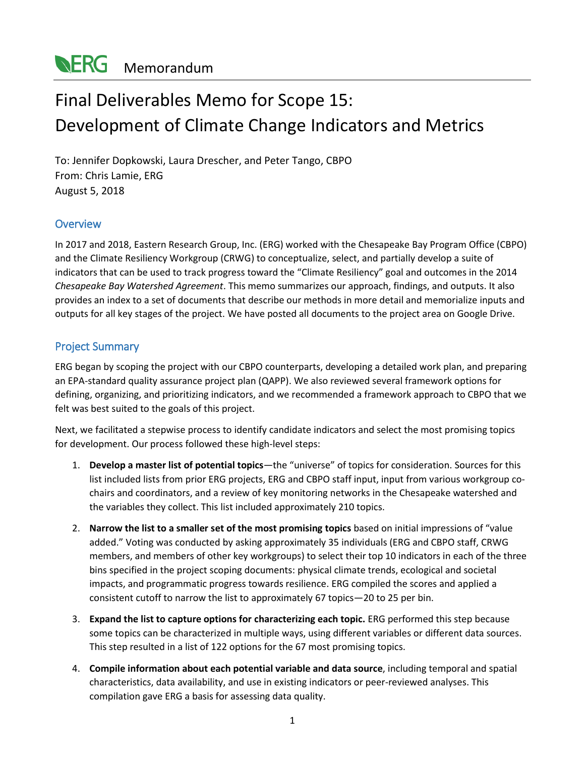# Final Deliverables Memo for Scope 15: Development of Climate Change Indicators and Metrics

To: Jennifer Dopkowski, Laura Drescher, and Peter Tango, CBPO From: Chris Lamie, ERG August 5, 2018

# **Overview**

In 2017 and 2018, Eastern Research Group, Inc. (ERG) worked with the Chesapeake Bay Program Office (CBPO) and the Climate Resiliency Workgroup (CRWG) to conceptualize, select, and partially develop a suite of indicators that can be used to track progress toward the "Climate Resiliency" goal and outcomes in the 2014 *Chesapeake Bay Watershed Agreement*. This memo summarizes our approach, findings, and outputs. It also provides an index to a set of documents that describe our methods in more detail and memorialize inputs and outputs for all key stages of the project. We have posted all documents to the project area on Google Drive.

## Project Summary

ERG began by scoping the project with our CBPO counterparts, developing a detailed work plan, and preparing an EPA-standard quality assurance project plan (QAPP). We also reviewed several framework options for defining, organizing, and prioritizing indicators, and we recommended a framework approach to CBPO that we felt was best suited to the goals of this project.

Next, we facilitated a stepwise process to identify candidate indicators and select the most promising topics for development. Our process followed these high-level steps:

- 1. **Develop a master list of potential topics**—the "universe" of topics for consideration. Sources for this list included lists from prior ERG projects, ERG and CBPO staff input, input from various workgroup cochairs and coordinators, and a review of key monitoring networks in the Chesapeake watershed and the variables they collect. This list included approximately 210 topics.
- 2. **Narrow the list to a smaller set of the most promising topics** based on initial impressions of "value added." Voting was conducted by asking approximately 35 individuals (ERG and CBPO staff, CRWG members, and members of other key workgroups) to select their top 10 indicators in each of the three bins specified in the project scoping documents: physical climate trends, ecological and societal impacts, and programmatic progress towards resilience. ERG compiled the scores and applied a consistent cutoff to narrow the list to approximately 67 topics—20 to 25 per bin.
- 3. **Expand the list to capture options for characterizing each topic.** ERG performed this step because some topics can be characterized in multiple ways, using different variables or different data sources. This step resulted in a list of 122 options for the 67 most promising topics.
- 4. **Compile information about each potential variable and data source**, including temporal and spatial characteristics, data availability, and use in existing indicators or peer-reviewed analyses. This compilation gave ERG a basis for assessing data quality.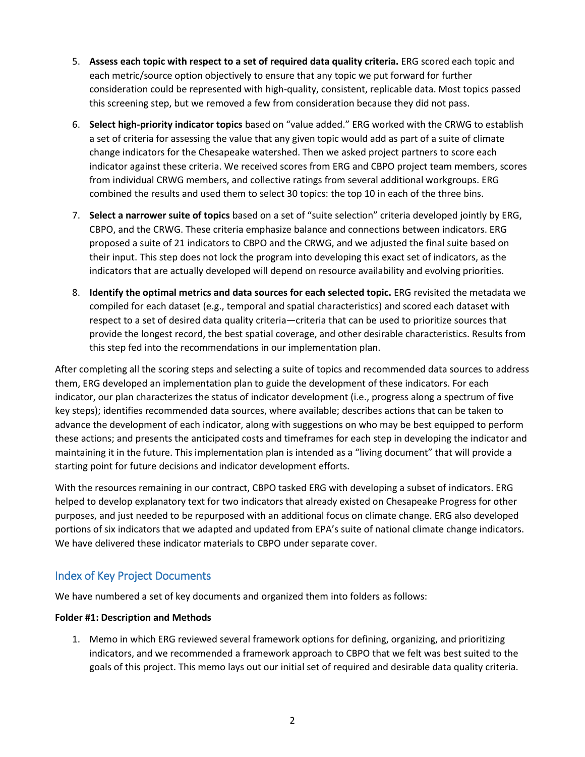- 5. **Assess each topic with respect to a set of required data quality criteria.** ERG scored each topic and each metric/source option objectively to ensure that any topic we put forward for further consideration could be represented with high-quality, consistent, replicable data. Most topics passed this screening step, but we removed a few from consideration because they did not pass.
- 6. **Select high-priority indicator topics** based on "value added." ERG worked with the CRWG to establish a set of criteria for assessing the value that any given topic would add as part of a suite of climate change indicators for the Chesapeake watershed. Then we asked project partners to score each indicator against these criteria. We received scores from ERG and CBPO project team members, scores from individual CRWG members, and collective ratings from several additional workgroups. ERG combined the results and used them to select 30 topics: the top 10 in each of the three bins.
- 7. **Select a narrower suite of topics** based on a set of "suite selection" criteria developed jointly by ERG, CBPO, and the CRWG. These criteria emphasize balance and connections between indicators. ERG proposed a suite of 21 indicators to CBPO and the CRWG, and we adjusted the final suite based on their input. This step does not lock the program into developing this exact set of indicators, as the indicators that are actually developed will depend on resource availability and evolving priorities.
- 8. **Identify the optimal metrics and data sources for each selected topic.** ERG revisited the metadata we compiled for each dataset (e.g., temporal and spatial characteristics) and scored each dataset with respect to a set of desired data quality criteria—criteria that can be used to prioritize sources that provide the longest record, the best spatial coverage, and other desirable characteristics. Results from this step fed into the recommendations in our implementation plan.

After completing all the scoring steps and selecting a suite of topics and recommended data sources to address them, ERG developed an implementation plan to guide the development of these indicators. For each indicator, our plan characterizes the status of indicator development (i.e., progress along a spectrum of five key steps); identifies recommended data sources, where available; describes actions that can be taken to advance the development of each indicator, along with suggestions on who may be best equipped to perform these actions; and presents the anticipated costs and timeframes for each step in developing the indicator and maintaining it in the future. This implementation plan is intended as a "living document" that will provide a starting point for future decisions and indicator development efforts.

With the resources remaining in our contract, CBPO tasked ERG with developing a subset of indicators. ERG helped to develop explanatory text for two indicators that already existed on Chesapeake Progress for other purposes, and just needed to be repurposed with an additional focus on climate change. ERG also developed portions of six indicators that we adapted and updated from EPA's suite of national climate change indicators. We have delivered these indicator materials to CBPO under separate cover.

## Index of Key Project Documents

We have numbered a set of key documents and organized them into folders as follows:

## **Folder #1: Description and Methods**

1. Memo in which ERG reviewed several framework options for defining, organizing, and prioritizing indicators, and we recommended a framework approach to CBPO that we felt was best suited to the goals of this project. This memo lays out our initial set of required and desirable data quality criteria.